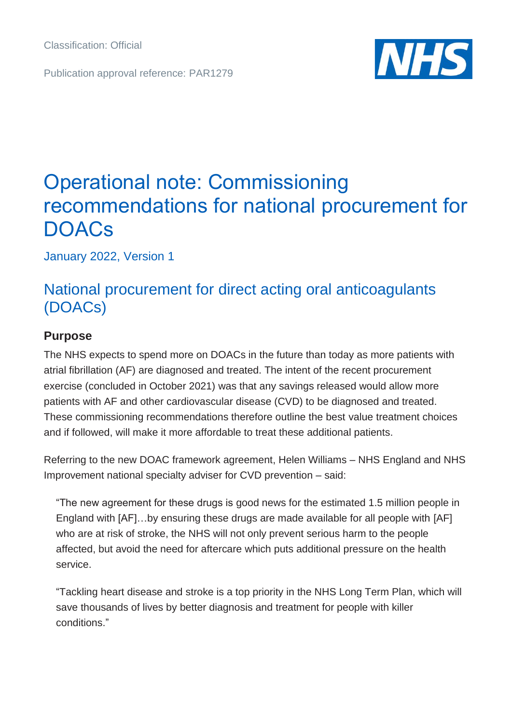Publication approval reference: PAR1279



# Operational note: Commissioning recommendations for national procurement for **DOACs**

January 2022, Version 1

# National procurement for direct acting oral anticoagulants (DOACs)

### **Purpose**

The NHS expects to spend more on DOACs in the future than today as more patients with atrial fibrillation (AF) are diagnosed and treated. The intent of the recent procurement exercise (concluded in October 2021) was that any savings released would allow more patients with AF and other cardiovascular disease (CVD) to be diagnosed and treated. These commissioning recommendations therefore outline the best value treatment choices and if followed, will make it more affordable to treat these additional patients.

Referring to the new DOAC framework agreement, Helen Williams – NHS England and NHS Improvement national specialty adviser for CVD prevention – said:

"The new agreement for these drugs is good news for the estimated 1.5 million people in England with [AF]…by ensuring these drugs are made available for all people with [AF] who are at risk of stroke, the NHS will not only prevent serious harm to the people affected, but avoid the need for aftercare which puts additional pressure on the health service.

"Tackling heart disease and stroke is a top priority in the NHS Long Term Plan, which will save thousands of lives by better diagnosis and treatment for people with killer conditions."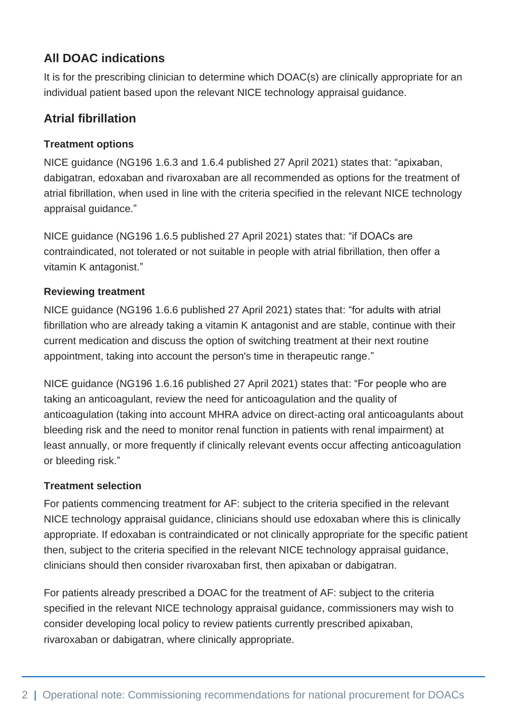# **All DOAC indications**

It is for the prescribing clinician to determine which DOAC(s) are clinically appropriate for an individual patient based upon the relevant NICE technology appraisal guidance.

## **Atrial fibrillation**

#### **Treatment options**

NICE guidance (NG196 1.6.3 and 1.6.4 published 27 April 2021) states that: "apixaban, dabigatran, edoxaban and rivaroxaban are all recommended as options for the treatment of atrial fibrillation, when used in line with the criteria specified in the relevant NICE technology appraisal guidance."

NICE guidance (NG196 1.6.5 published 27 April 2021) states that: "if DOACs are contraindicated, not tolerated or not suitable in people with atrial fibrillation, then offer a vitamin K antagonist."

#### **Reviewing treatment**

NICE guidance (NG196 1.6.6 published 27 April 2021) states that: "for adults with atrial fibrillation who are already taking a vitamin K antagonist and are stable, continue with their current medication and discuss the option of switching treatment at their next routine appointment, taking into account the person's time in therapeutic range."

NICE guidance (NG196 1.6.16 published 27 April 2021) states that: "For people who are taking an anticoagulant, review the need for anticoagulation and the quality of anticoagulation (taking into account MHRA advice on direct-acting oral anticoagulants about bleeding risk and the need to monitor renal function in patients with renal impairment) at least annually, or more frequently if clinically relevant events occur affecting anticoagulation or bleeding risk."

#### **Treatment selection**

For patients commencing treatment for AF: subject to the criteria specified in the relevant NICE technology appraisal guidance, clinicians should use edoxaban where this is clinically appropriate. If edoxaban is contraindicated or not clinically appropriate for the specific patient then, subject to the criteria specified in the relevant NICE technology appraisal guidance, clinicians should then consider rivaroxaban first, then apixaban or dabigatran.

For patients already prescribed a DOAC for the treatment of AF: subject to the criteria specified in the relevant NICE technology appraisal guidance, commissioners may wish to consider developing local policy to review patients currently prescribed apixaban, rivaroxaban or dabigatran, where clinically appropriate.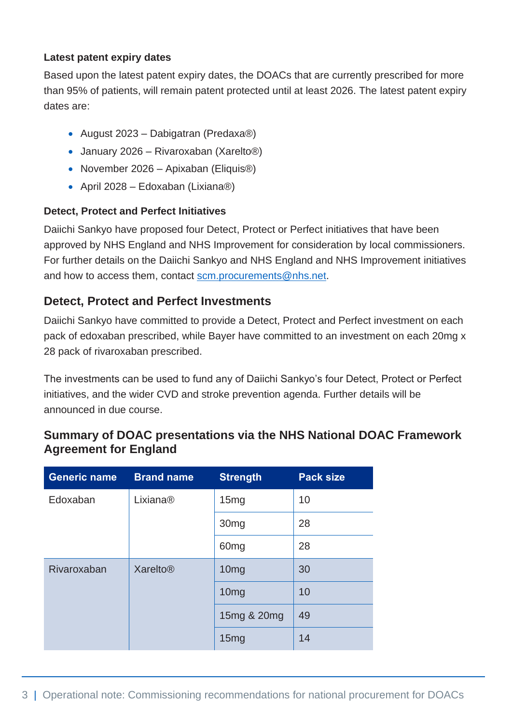#### **Latest patent expiry dates**

Based upon the latest patent expiry dates, the DOACs that are currently prescribed for more than 95% of patients, will remain patent protected until at least 2026. The latest patent expiry dates are:

- August 2023 Dabigatran (Predaxa®)
- January 2026 Rivaroxaban (Xarelto®)
- November 2026 Apixaban (Eliquis<sup>®)</sup>
- April 2028 Edoxaban (Lixiana®)

#### **Detect, Protect and Perfect Initiatives**

Daiichi Sankyo have proposed four Detect, Protect or Perfect initiatives that have been approved by NHS England and NHS Improvement for consideration by local commissioners. For further details on the Daiichi Sankyo and NHS England and NHS Improvement initiatives and how to access them, contact [scm.procurements@nhs.net.](mailto:scm.procurements@nhs.net)

#### **Detect, Protect and Perfect Investments**

Daiichi Sankyo have committed to provide a Detect, Protect and Perfect investment on each pack of edoxaban prescribed, while Bayer have committed to an investment on each 20mg x 28 pack of rivaroxaban prescribed.

The investments can be used to fund any of Daiichi Sankyo's four Detect, Protect or Perfect initiatives, and the wider CVD and stroke prevention agenda. Further details will be announced in due course.

#### **Summary of DOAC presentations via the NHS National DOAC Framework Agreement for England**

| <b>Generic name</b> | <b>Brand name</b>          | <b>Strength</b>  | <b>Pack size</b> |
|---------------------|----------------------------|------------------|------------------|
| Edoxaban            | Lixiana <sup>®</sup>       | 15mg             | 10               |
|                     |                            | 30 <sub>mg</sub> | 28               |
|                     |                            | 60 <sub>mg</sub> | 28               |
| Rivaroxaban         | <b>Xarelto<sup>®</sup></b> | 10 <sub>mg</sub> | 30               |
|                     |                            | 10 <sub>mg</sub> | 10               |
|                     |                            | 15mg & 20mg      | 49               |
|                     |                            | 15mg             | 14               |